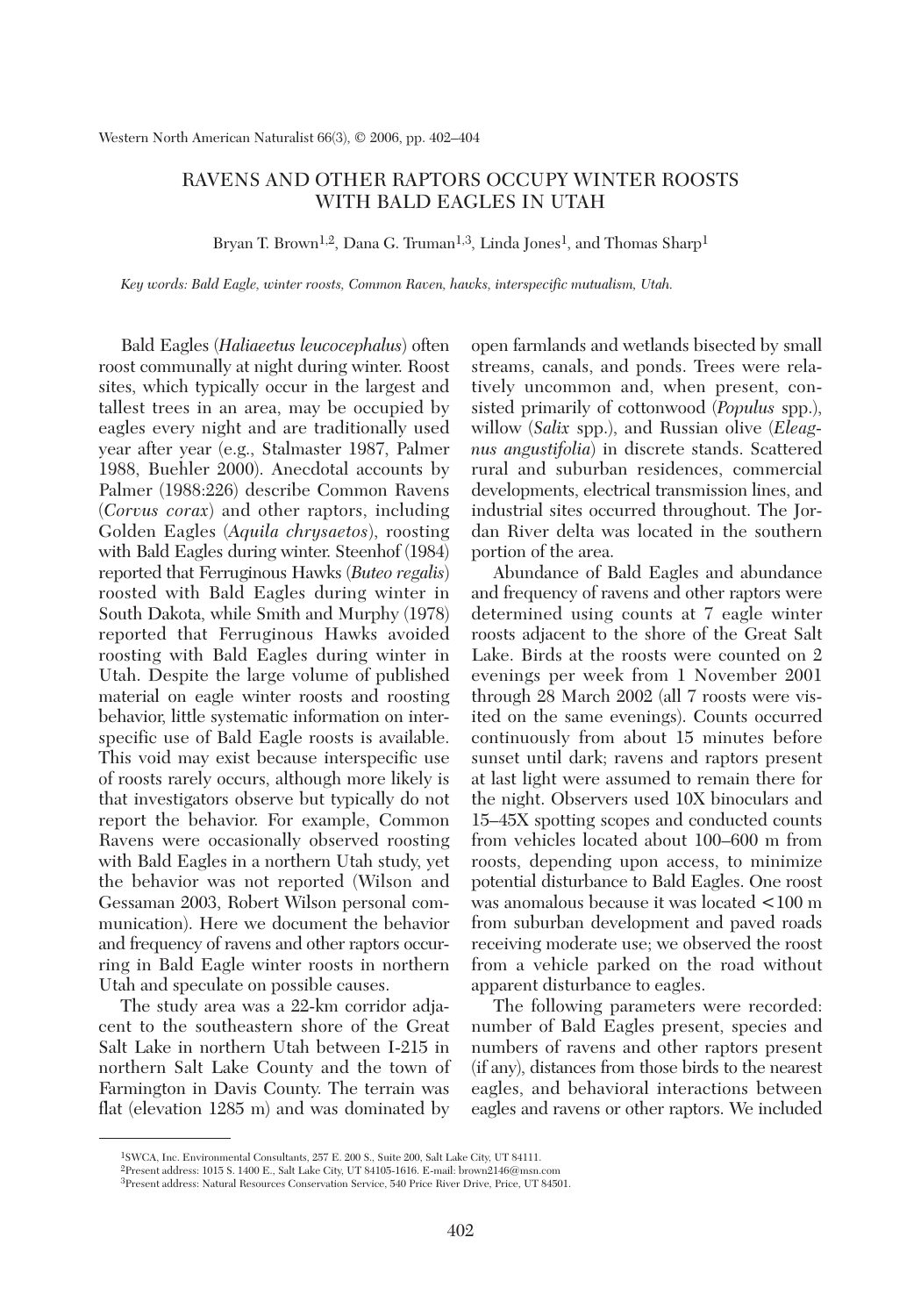## RAVENS AND OTHER RAPTORS OCCUPY WINTER ROOSTS WITH BALD EAGLES IN UTAH

Bryan T. Brown<sup>1,2</sup>, Dana G. Truman<sup>1,3</sup>, Linda Jones<sup>1</sup>, and Thomas Sharp<sup>1</sup>

*Key words: Bald Eagle, winter roosts, Common Raven, hawks, interspecific mutualism, Utah.*

Bald Eagles (*Haliaeetus leucocephalus*) often roost communally at night during winter. Roost sites, which typically occur in the largest and tallest trees in an area, may be occupied by eagles every night and are traditionally used year after year (e.g., Stalmaster 1987, Palmer 1988, Buehler 2000). Anecdotal accounts by Palmer (1988:226) describe Common Ravens (*Corvus corax*) and other raptors, including Golden Eagles (*Aquila chrysaetos*), roosting with Bald Eagles during winter. Steenhof (1984) reported that Ferruginous Hawks (*Buteo regalis*) roosted with Bald Eagles during winter in South Dakota, while Smith and Murphy (1978) reported that Ferruginous Hawks avoided roosting with Bald Eagles during winter in Utah. Despite the large volume of published material on eagle winter roosts and roosting behavior, little systematic information on interspecific use of Bald Eagle roosts is available. This void may exist because interspecific use of roosts rarely occurs, although more likely is that investigators observe but typically do not report the behavior. For example, Common Ravens were occasionally observed roosting with Bald Eagles in a northern Utah study, yet the behavior was not reported (Wilson and Gessaman 2003, Robert Wilson personal communication). Here we document the behavior and frequency of ravens and other raptors occurring in Bald Eagle winter roosts in northern Utah and speculate on possible causes.

The study area was a 22-km corridor adjacent to the southeastern shore of the Great Salt Lake in northern Utah between I-215 in northern Salt Lake County and the town of Farmington in Davis County. The terrain was flat (elevation 1285 m) and was dominated by open farmlands and wetlands bisected by small streams, canals, and ponds. Trees were relatively uncommon and, when present, consisted primarily of cottonwood (*Populus* spp.), willow (*Salix* spp.), and Russian olive (*Eleagnus angustifolia*) in discrete stands. Scattered rural and suburban residences, commercial developments, electrical transmission lines, and industrial sites occurred throughout. The Jordan River delta was located in the southern portion of the area.

Abundance of Bald Eagles and abundance and frequency of ravens and other raptors were determined using counts at 7 eagle winter roosts adjacent to the shore of the Great Salt Lake. Birds at the roosts were counted on 2 evenings per week from 1 November 2001 through 28 March 2002 (all 7 roosts were visited on the same evenings). Counts occurred continuously from about 15 minutes before sunset until dark; ravens and raptors present at last light were assumed to remain there for the night. Observers used 10X binoculars and 15–45X spotting scopes and conducted counts from vehicles located about 100–600 m from roosts, depending upon access, to minimize potential disturbance to Bald Eagles. One roost was anomalous because it was located <100 m from suburban development and paved roads receiving moderate use; we observed the roost from a vehicle parked on the road without apparent disturbance to eagles.

The following parameters were recorded: number of Bald Eagles present, species and numbers of ravens and other raptors present (if any), distances from those birds to the nearest eagles, and behavioral interactions between eagles and ravens or other raptors. We included

<sup>1</sup>SWCA, Inc. Environmental Consultants, 257 E. 200 S., Suite 200, Salt Lake City, UT 84111.

<sup>2</sup>Present address: 1015 S. 1400 E., Salt Lake City, UT 84105-1616. E-mail: brown2146@msn.com

<sup>3</sup>Present address: Natural Resources Conservation Service, 540 Price River Drive, Price, UT 84501.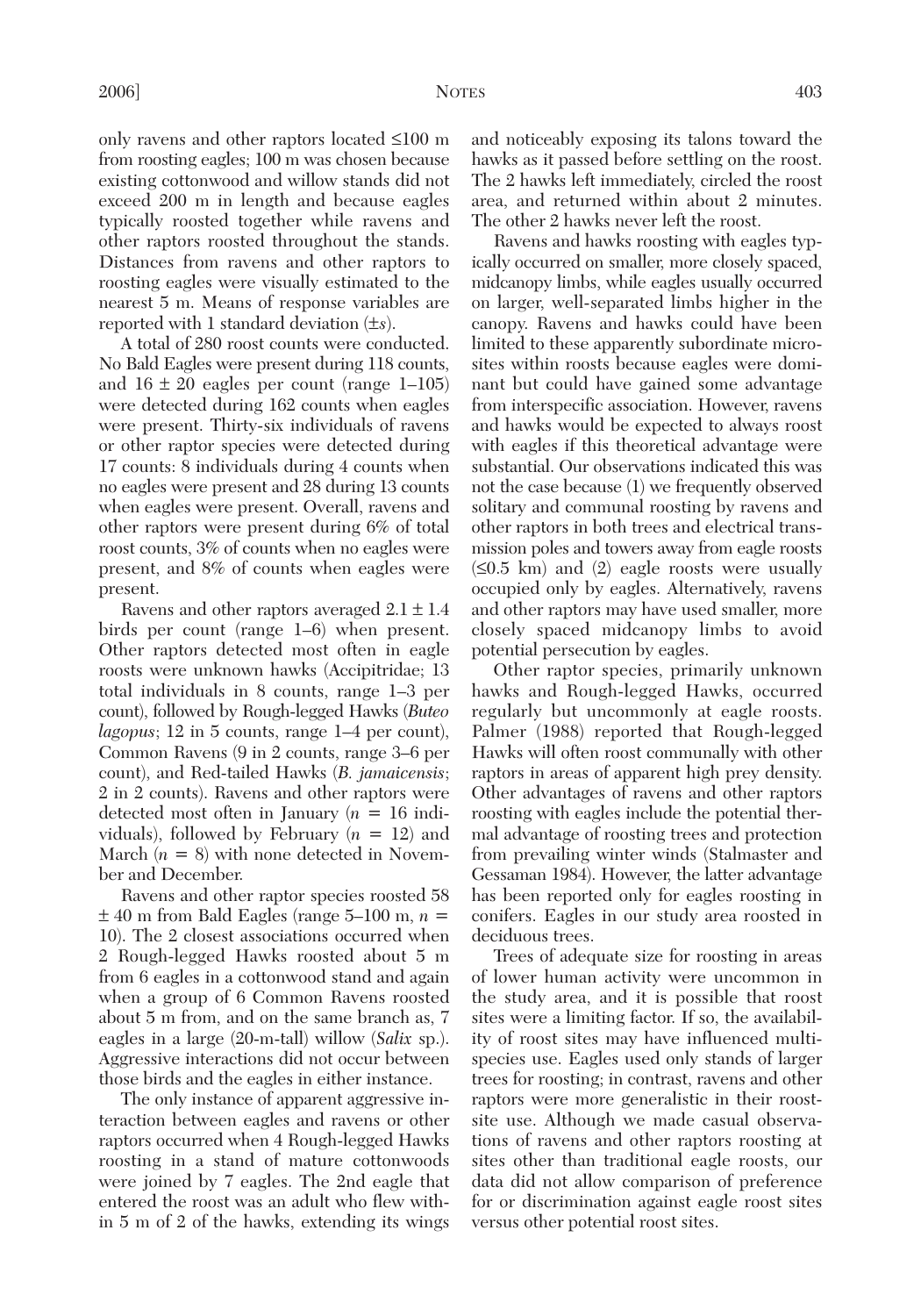only ravens and other raptors located ≤100 m from roosting eagles; 100 m was chosen because existing cottonwood and willow stands did not exceed 200 m in length and because eagles typically roosted together while ravens and other raptors roosted throughout the stands. Distances from ravens and other raptors to roosting eagles were visually estimated to the nearest 5 m. Means of response variables are reported with 1 standard deviation (±*s*).

A total of 280 roost counts were conducted. No Bald Eagles were present during 118 counts, and  $16 \pm 20$  eagles per count (range 1–105) were detected during 162 counts when eagles were present. Thirty-six individuals of ravens or other raptor species were detected during 17 counts: 8 individuals during 4 counts when no eagles were present and 28 during 13 counts when eagles were present. Overall, ravens and other raptors were present during 6% of total roost counts, 3% of counts when no eagles were present, and 8% of counts when eagles were present.

Ravens and other raptors averaged  $2.1 \pm 1.4$ birds per count (range 1–6) when present. Other raptors detected most often in eagle roosts were unknown hawks (Accipitridae; 13 total individuals in 8 counts, range 1–3 per count), followed by Rough-legged Hawks (*Buteo lagopus*; 12 in 5 counts, range 1–4 per count), Common Ravens (9 in 2 counts, range 3–6 per count), and Red-tailed Hawks (*B. jamaicensis*; 2 in 2 counts). Ravens and other raptors were detected most often in January (*n* = 16 individuals), followed by February (*n* = 12) and March  $(n = 8)$  with none detected in November and December.

Ravens and other raptor species roosted 58  $\pm$  40 m from Bald Eagles (range 5–100 m,  $n =$ 10). The 2 closest associations occurred when 2 Rough-legged Hawks roosted about 5 m from 6 eagles in a cottonwood stand and again when a group of 6 Common Ravens roosted about 5 m from, and on the same branch as, 7 eagles in a large (20-m-tall) willow (*Salix* sp.). Aggressive interactions did not occur between those birds and the eagles in either instance.

The only instance of apparent aggressive interaction between eagles and ravens or other raptors occurred when 4 Rough-legged Hawks roosting in a stand of mature cottonwoods were joined by 7 eagles. The 2nd eagle that entered the roost was an adult who flew within 5 m of 2 of the hawks, extending its wings

and noticeably exposing its talons toward the hawks as it passed before settling on the roost. The 2 hawks left immediately, circled the roost area, and returned within about 2 minutes. The other 2 hawks never left the roost.

Ravens and hawks roosting with eagles typically occurred on smaller, more closely spaced, midcanopy limbs, while eagles usually occurred on larger, well-separated limbs higher in the canopy. Ravens and hawks could have been limited to these apparently subordinate microsites within roosts because eagles were dominant but could have gained some advantage from interspecific association. However, ravens and hawks would be expected to always roost with eagles if this theoretical advantage were substantial. Our observations indicated this was not the case because (1) we frequently observed solitary and communal roosting by ravens and other raptors in both trees and electrical transmission poles and towers away from eagle roosts  $(\leq 0.5$  km) and  $(2)$  eagle roosts were usually occupied only by eagles. Alternatively, ravens and other raptors may have used smaller, more closely spaced midcanopy limbs to avoid potential persecution by eagles.

Other raptor species, primarily unknown hawks and Rough-legged Hawks, occurred regularly but uncommonly at eagle roosts. Palmer (1988) reported that Rough-legged Hawks will often roost communally with other raptors in areas of apparent high prey density. Other advantages of ravens and other raptors roosting with eagles include the potential thermal advantage of roosting trees and protection from prevailing winter winds (Stalmaster and Gessaman 1984). However, the latter advantage has been reported only for eagles roosting in conifers. Eagles in our study area roosted in deciduous trees.

Trees of adequate size for roosting in areas of lower human activity were uncommon in the study area, and it is possible that roost sites were a limiting factor. If so, the availability of roost sites may have influenced multispecies use. Eagles used only stands of larger trees for roosting; in contrast, ravens and other raptors were more generalistic in their roostsite use. Although we made casual observations of ravens and other raptors roosting at sites other than traditional eagle roosts, our data did not allow comparison of preference for or discrimination against eagle roost sites versus other potential roost sites.